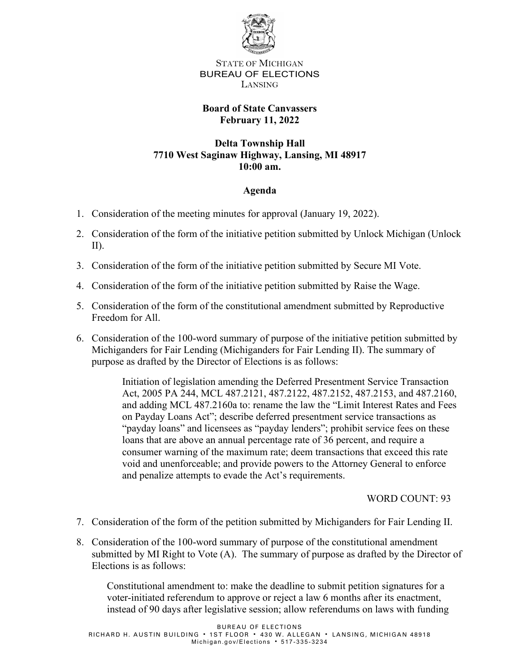

STATE OF MICHIGAN BUREAU OF ELECTIONS LANSING

# **Board of State Canvassers February 11, 2022**

## **Delta Township Hall 7710 West Saginaw Highway, Lansing, MI 48917 10:00 am.**

# **Agenda**

- 1. Consideration of the meeting minutes for approval (January 19, 2022).
- 2. Consideration of the form of the initiative petition submitted by Unlock Michigan (Unlock II).
- 3. Consideration of the form of the initiative petition submitted by Secure MI Vote.
- 4. Consideration of the form of the initiative petition submitted by Raise the Wage.
- 5. Consideration of the form of the constitutional amendment submitted by Reproductive Freedom for All.
- 6. Consideration of the 100-word summary of purpose of the initiative petition submitted by Michiganders for Fair Lending (Michiganders for Fair Lending II). The summary of purpose as drafted by the Director of Elections is as follows:

Initiation of legislation amending the Deferred Presentment Service Transaction Act, 2005 PA 244, MCL 487.2121, 487.2122, 487.2152, 487.2153, and 487.2160, and adding MCL 487.2160a to: rename the law the "Limit Interest Rates and Fees on Payday Loans Act"; describe deferred presentment service transactions as "payday loans" and licensees as "payday lenders"; prohibit service fees on these loans that are above an annual percentage rate of 36 percent, and require a consumer warning of the maximum rate; deem transactions that exceed this rate void and unenforceable; and provide powers to the Attorney General to enforce and penalize attempts to evade the Act's requirements.

### WORD COUNT: 93

- 7. Consideration of the form of the petition submitted by Michiganders for Fair Lending II.
- 8. Consideration of the 100-word summary of purpose of the constitutional amendment submitted by MI Right to Vote (A). The summary of purpose as drafted by the Director of Elections is as follows:

Constitutional amendment to: make the deadline to submit petition signatures for a voter-initiated referendum to approve or reject a law 6 months after its enactment, instead of 90 days after legislative session; allow referendums on laws with funding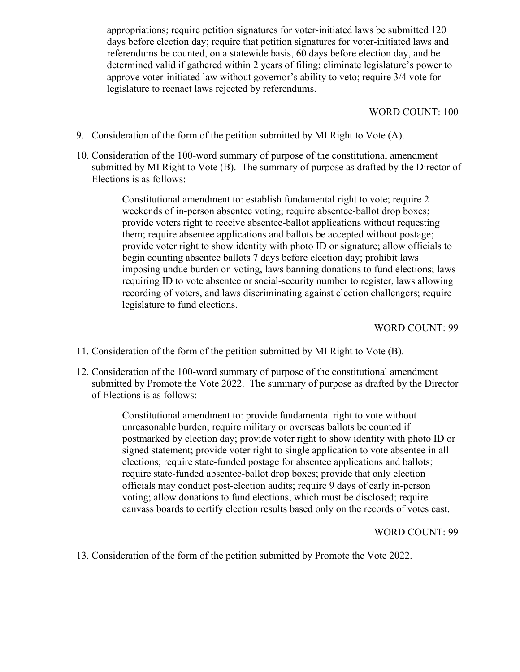appropriations; require petition signatures for voter-initiated laws be submitted 120 days before election day; require that petition signatures for voter-initiated laws and referendums be counted, on a statewide basis, 60 days before election day, and be determined valid if gathered within 2 years of filing; eliminate legislature's power to approve voter-initiated law without governor's ability to veto; require 3/4 vote for legislature to reenact laws rejected by referendums.

#### WORD COUNT: 100

- 9. Consideration of the form of the petition submitted by MI Right to Vote (A).
- 10. Consideration of the 100-word summary of purpose of the constitutional amendment submitted by MI Right to Vote (B). The summary of purpose as drafted by the Director of Elections is as follows:

Constitutional amendment to: establish fundamental right to vote; require 2 weekends of in-person absentee voting; require absentee-ballot drop boxes; provide voters right to receive absentee-ballot applications without requesting them; require absentee applications and ballots be accepted without postage; provide voter right to show identity with photo ID or signature; allow officials to begin counting absentee ballots 7 days before election day; prohibit laws imposing undue burden on voting, laws banning donations to fund elections; laws requiring ID to vote absentee or social-security number to register, laws allowing recording of voters, and laws discriminating against election challengers; require legislature to fund elections.

#### WORD COUNT: 99

- 11. Consideration of the form of the petition submitted by MI Right to Vote (B).
- 12. Consideration of the 100-word summary of purpose of the constitutional amendment submitted by Promote the Vote 2022. The summary of purpose as drafted by the Director of Elections is as follows:

Constitutional amendment to: provide fundamental right to vote without unreasonable burden; require military or overseas ballots be counted if postmarked by election day; provide voter right to show identity with photo ID or signed statement; provide voter right to single application to vote absentee in all elections; require state-funded postage for absentee applications and ballots; require state-funded absentee-ballot drop boxes; provide that only election officials may conduct post-election audits; require 9 days of early in-person voting; allow donations to fund elections, which must be disclosed; require canvass boards to certify election results based only on the records of votes cast.

#### WORD COUNT: 99

13. Consideration of the form of the petition submitted by Promote the Vote 2022.